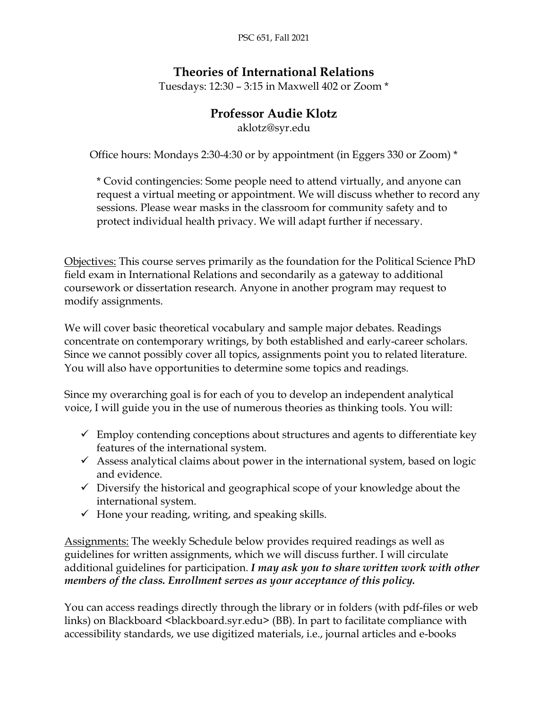PSC 651, Fall 2021

# **Theories of International Relations**

Tuesdays: 12:30 – 3:15 in Maxwell 402 or Zoom \*

## **Professor Audie Klotz**

aklotz@syr.edu

Office hours: Mondays 2:30-4:30 or by appointment (in Eggers 330 or Zoom) \*

\* Covid contingencies: Some people need to attend virtually, and anyone can request a virtual meeting or appointment. We will discuss whether to record any sessions. Please wear masks in the classroom for community safety and to protect individual health privacy. We will adapt further if necessary.

Objectives: This course serves primarily as the foundation for the Political Science PhD field exam in International Relations and secondarily as a gateway to additional coursework or dissertation research. Anyone in another program may request to modify assignments.

We will cover basic theoretical vocabulary and sample major debates. Readings concentrate on contemporary writings, by both established and early-career scholars. Since we cannot possibly cover all topics, assignments point you to related literature. You will also have opportunities to determine some topics and readings.

Since my overarching goal is for each of you to develop an independent analytical voice, I will guide you in the use of numerous theories as thinking tools. You will:

- $\checkmark$  Employ contending conceptions about structures and agents to differentiate key features of the international system.
- $\checkmark$  Assess analytical claims about power in the international system, based on logic and evidence.
- $\checkmark$  Diversify the historical and geographical scope of your knowledge about the international system.
- $\checkmark$  Hone your reading, writing, and speaking skills.

Assignments: The weekly Schedule below provides required readings as well as guidelines for written assignments, which we will discuss further. I will circulate additional guidelines for participation. *I may ask you to share written work with other members of the class. Enrollment serves as your acceptance of this policy.*

You can access readings directly through the library or in folders (with pdf-files or web links) on Blackboard <br/>blackboard.syr.edu> (BB). In part to facilitate compliance with accessibility standards, we use digitized materials, i.e., journal articles and e-books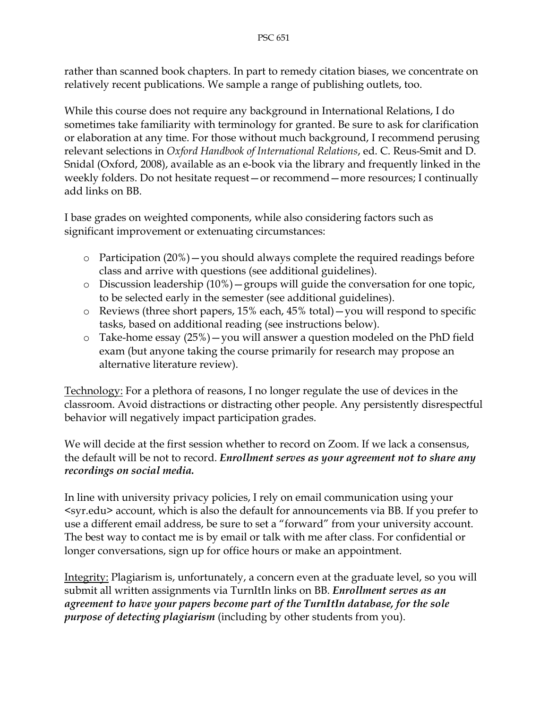rather than scanned book chapters. In part to remedy citation biases, we concentrate on relatively recent publications. We sample a range of publishing outlets, too.

While this course does not require any background in International Relations, I do sometimes take familiarity with terminology for granted. Be sure to ask for clarification or elaboration at any time. For those without much background, I recommend perusing relevant selections in *Oxford Handbook of International Relations*, ed. C. Reus-Smit and D. Snidal (Oxford, 2008), available as an e-book via the library and frequently linked in the weekly folders. Do not hesitate request—or recommend—more resources; I continually add links on BB.

I base grades on weighted components, while also considering factors such as significant improvement or extenuating circumstances:

- o Participation (20%)—you should always complete the required readings before class and arrive with questions (see additional guidelines).
- o Discussion leadership (10%)—groups will guide the conversation for one topic, to be selected early in the semester (see additional guidelines).
- o Reviews (three short papers, 15% each, 45% total)—you will respond to specific tasks, based on additional reading (see instructions below).
- o Take-home essay (25%)—you will answer a question modeled on the PhD field exam (but anyone taking the course primarily for research may propose an alternative literature review).

Technology: For a plethora of reasons, I no longer regulate the use of devices in the classroom. Avoid distractions or distracting other people. Any persistently disrespectful behavior will negatively impact participation grades.

We will decide at the first session whether to record on Zoom. If we lack a consensus, the default will be not to record. *Enrollment serves as your agreement not to share any recordings on social media.*

In line with university privacy policies, I rely on email communication using your <syr.edu> account, which is also the default for announcements via BB. If you prefer to use a different email address, be sure to set a "forward" from your university account. The best way to contact me is by email or talk with me after class. For confidential or longer conversations, sign up for office hours or make an appointment.

Integrity: Plagiarism is, unfortunately, a concern even at the graduate level, so you will submit all written assignments via TurnItIn links on BB. *Enrollment serves as an agreement to have your papers become part of the TurnItIn database, for the sole purpose of detecting plagiarism* (including by other students from you).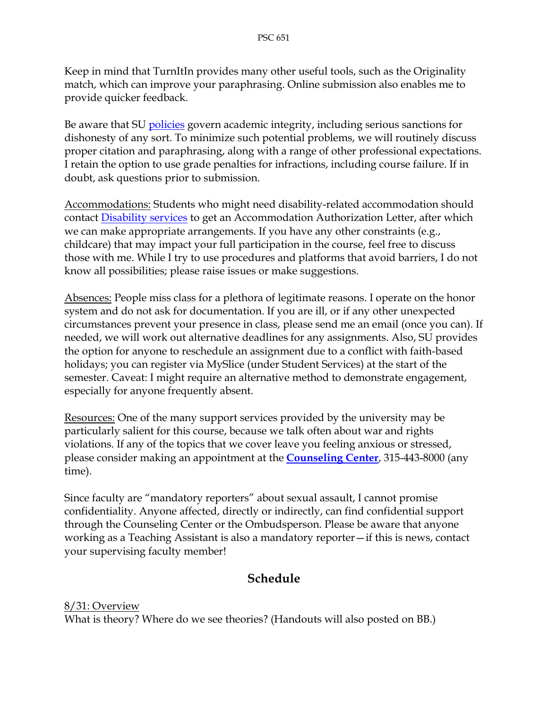Keep in mind that TurnItIn provides many other useful tools, such as the Originality match, which can improve your paraphrasing. Online submission also enables me to provide quicker feedback.

Be aware that SU [policies](http://class.syr.edu/academic-integrity/policy/) govern academic integrity, including serious sanctions for dishonesty of any sort. To minimize such potential problems, we will routinely discuss proper citation and paraphrasing, along with a range of other professional expectations. I retain the option to use grade penalties for infractions, including course failure. If in doubt, ask questions prior to submission.

Accommodations: Students who might need disability-related accommodation should contact [Disability services](http://disabilityservices.syr.edu/) to get an Accommodation Authorization Letter, after which we can make appropriate arrangements. If you have any other constraints (e.g., childcare) that may impact your full participation in the course, feel free to discuss those with me. While I try to use procedures and platforms that avoid barriers, I do not know all possibilities; please raise issues or make suggestions.

Absences: People miss class for a plethora of legitimate reasons. I operate on the honor system and do not ask for documentation. If you are ill, or if any other unexpected circumstances prevent your presence in class, please send me an email (once you can). If needed, we will work out alternative deadlines for any assignments. Also, SU provides the option for anyone to reschedule an assignment due to a conflict with faith-based holidays; you can register via MySlice (under Student Services) at the start of the semester. Caveat: I might require an alternative method to demonstrate engagement, especially for anyone frequently absent.

Resources: One of the many support services provided by the university may be particularly salient for this course, because we talk often about war and rights violations. If any of the topics that we cover leave you feeling anxious or stressed, please consider making an appointment at the **[Counseling](https://ese.syr.edu/bewell/) Center**, 315-443-8000 (any time).

Since faculty are "mandatory reporters" about sexual assault, I cannot promise confidentiality. Anyone affected, directly or indirectly, can find confidential support through the Counseling Center or the Ombudsperson. Please be aware that anyone working as a Teaching Assistant is also a mandatory reporter—if this is news, contact your supervising faculty member!

## **Schedule**

8/31: Overview What is theory? Where do we see theories? (Handouts will also posted on BB.)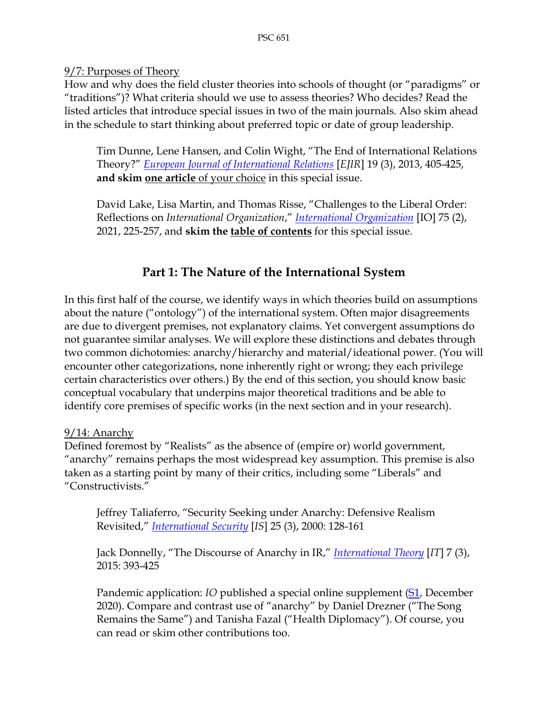#### 9/7: Purposes of Theory

How and why does the field cluster theories into schools of thought (or "paradigms" or "traditions")? What criteria should we use to assess theories? Who decides? Read the listed articles that introduce special issues in two of the main journals. Also skim ahead in the schedule to start thinking about preferred topic or date of group leadership.

Tim Dunne, Lene Hansen, and Colin Wight, "The End of International Relations Theory?" *[European Journal of International Relations](https://journals.sagepub.com/home/ejt)* [*EJIR*] 19 (3), 2013, 405-425, **and skim one article** of your choice in this special issue.

David Lake, Lisa Martin, and Thomas Risse, "Challenges to the Liberal Order: Reflections on *International Organization*," *[International Organization](https://www.cambridge.org/core/journals/international-organization)* [IO] 75 (2), 2021, 225-257, and **skim the table of contents** for this special issue.

# **Part 1: The Nature of the International System**

In this first half of the course, we identify ways in which theories build on assumptions about the nature ("ontology") of the international system. Often major disagreements are due to divergent premises, not explanatory claims. Yet convergent assumptions do not guarantee similar analyses. We will explore these distinctions and debates through two common dichotomies: anarchy/hierarchy and material/ideational power. (You will encounter other categorizations, none inherently right or wrong; they each privilege certain characteristics over others.) By the end of this section, you should know basic conceptual vocabulary that underpins major theoretical traditions and be able to identify core premises of specific works (in the next section and in your research).

### 9/14: Anarchy

Defined foremost by "Realists" as the absence of (empire or) world government, "anarchy" remains perhaps the most widespread key assumption. This premise is also taken as a starting point by many of their critics, including some "Liberals" and "Constructivists."

Jeffrey Taliaferro, "Security Seeking under Anarchy: Defensive Realism Revisited," *[International Security](https://muse.jhu.edu/journal/84)* [*IS*] 25 (3), 2000: 128-161

Jack Donnelly, "The Discourse of Anarchy in IR," *[International Theory](https://www.cambridge.org/core/journals/international-theory)* [*IT*] 7 (3), 2015: 393-425

Pandemic application: *IO* published a special online supplement [\(S1,](https://www-cambridge-org.libezproxy2.syr.edu/core/journals/international-organization/issue/23C8E56F7F03EA9CAF5E1A63EFCABFE5) December 2020). Compare and contrast use of "anarchy" by Daniel Drezner ("The Song Remains the Same") and Tanisha Fazal ("Health Diplomacy"). Of course, you can read or skim other contributions too.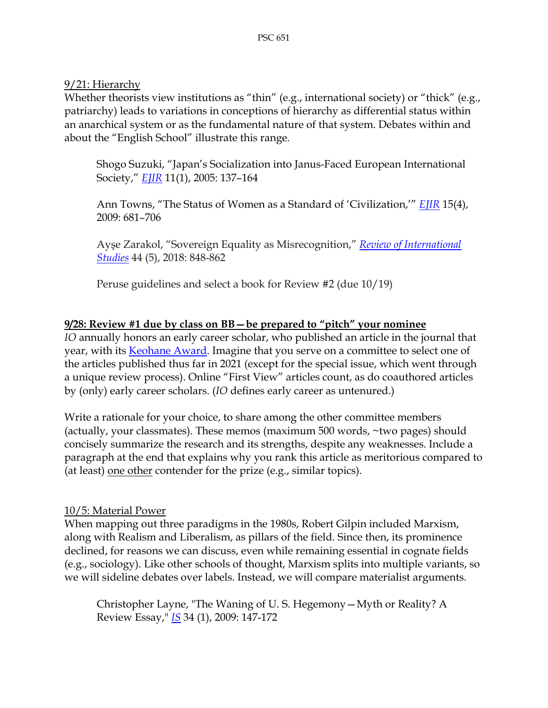9/21: Hierarchy

Whether theorists view institutions as "thin" (e.g., international society) or "thick" (e.g., patriarchy) leads to variations in conceptions of hierarchy as differential status within an anarchical system or as the fundamental nature of that system. Debates within and about the "English School" illustrate this range.

Shogo Suzuki, "Japan's Socialization into Janus-Faced European International Society," *[EJIR](https://journals.sagepub.com/home/ejt)* 11(1), 2005: 137–164

Ann Towns, "The Status of Women as a Standard of 'Civilization,'" *[EJIR](https://journals.sagepub.com/home/ejt)* 15(4), 2009: 681–706

Ayşe Zarakol, "Sovereign Equality as Misrecognition," *[Review of International](https://www.cambridge.org/core/journals/review-of-international-studies)  [Studies](https://www.cambridge.org/core/journals/review-of-international-studies)* 44 (5), 2018: 848-862

Peruse guidelines and select a book for Review #2 (due 10/19)

### **9/28: Review #1 due by class on BB—be prepared to "pitch" your nominee**

*IO* annually honors an early career scholar, who published an article in the journal that year, with its [Keohane](https://www.cambridge.org/core/journals/international-organization/io-keohane-award-winners) Award. Imagine that you serve on a committee to select one of the articles published thus far in 2021 (except for the special issue, which went through a unique review process). Online "First View" articles count, as do coauthored articles by (only) early career scholars. (*IO* defines early career as untenured.)

Write a rationale for your choice, to share among the other committee members (actually, your classmates). These memos (maximum 500 words, ~two pages) should concisely summarize the research and its strengths, despite any weaknesses. Include a paragraph at the end that explains why you rank this article as meritorious compared to (at least) one other contender for the prize (e.g., similar topics).

#### 10/5: Material Power

When mapping out three paradigms in the 1980s, Robert Gilpin included Marxism, along with Realism and Liberalism, as pillars of the field. Since then, its prominence declined, for reasons we can discuss, even while remaining essential in cognate fields (e.g., sociology). Like other schools of thought, Marxism splits into multiple variants, so we will sideline debates over labels. Instead, we will compare materialist arguments.

Christopher Layne, "The Waning of U. S. Hegemony—Myth or Reality? A Review Essay," *[IS](https://muse.jhu.edu/journal/84)* 34 (1), 2009: 147-172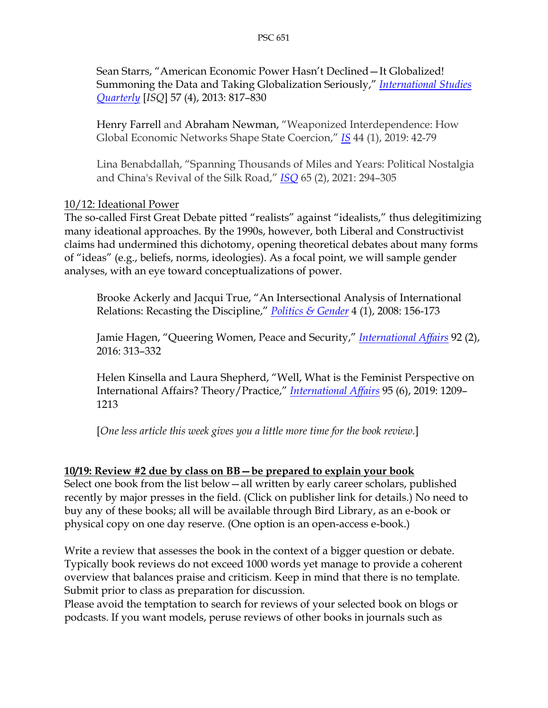Sean Starrs, "American Economic Power Hasn't Declined—It Globalized! Summoning the Data and Taking Globalization Seriously," *[International Studies](https://academic.oup.com/isq)  [Quarterly](https://academic.oup.com/isq)* [*ISQ*] 57 (4), 2013: 817–830

Henry Farrell and Abraham Newman, "Weaponized Interdependence: How Global Economic Networks Shape State Coercion," *[IS](https://muse.jhu.edu/journal/84)* 44 (1), 2019: 42-79

Lina Benabdallah, "Spanning Thousands of Miles and Years: Political Nostalgia and China's Revival of the Silk Road," *[ISQ](https://academic.oup.com/isq)* 65 (2), 2021: 294–305

#### 10/12: Ideational Power

The so-called First Great Debate pitted "realists" against "idealists," thus delegitimizing many ideational approaches. By the 1990s, however, both Liberal and Constructivist claims had undermined this dichotomy, opening theoretical debates about many forms of "ideas" (e.g., beliefs, norms, ideologies). As a focal point, we will sample gender analyses, with an eye toward conceptualizations of power.

Brooke Ackerly and Jacqui True, "An Intersectional Analysis of International Relations: Recasting the Discipline," *[Politics & Gender](https://www.cambridge.org/core/journals/politics-and-gender)* 4 (1), 2008: 156-173

Jamie Hagen, "Queering Women, Peace and Security," *[International Affairs](https://academic.oup.com/ia)* 92 (2), 2016: 313–332

Helen Kinsella and Laura Shepherd, "Well, What is the Feminist Perspective on International Affairs? Theory/Practice," *[International Affairs](https://academic.oup.com/ia)* 95 (6), 2019: 1209– 1213

[*One less article this week gives you a little more time for the book review.*]

#### **10/19: Review #2 due by class on BB—be prepared to explain your book**

Select one book from the list below—all written by early career scholars, published recently by major presses in the field. (Click on publisher link for details.) No need to buy any of these books; all will be available through Bird Library, as an e-book or physical copy on one day reserve. (One option is an open-access e-book.)

Write a review that assesses the book in the context of a bigger question or debate. Typically book reviews do not exceed 1000 words yet manage to provide a coherent overview that balances praise and criticism. Keep in mind that there is no template. Submit prior to class as preparation for discussion.

Please avoid the temptation to search for reviews of your selected book on blogs or podcasts. If you want models, peruse reviews of other books in journals such as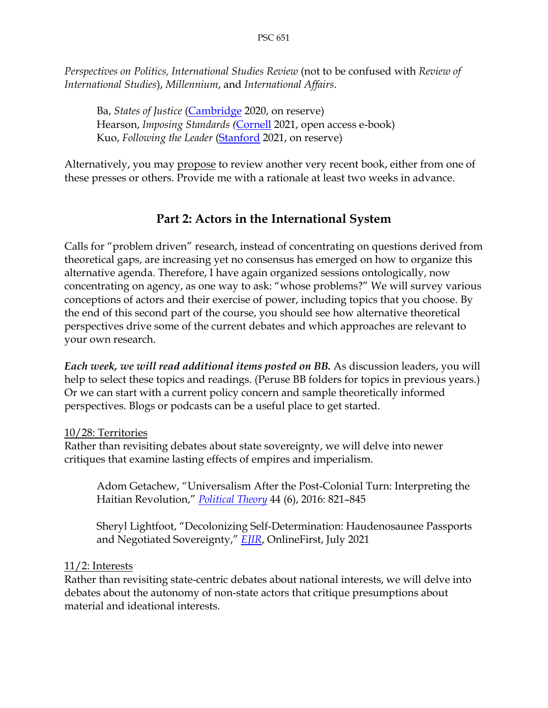*Perspectives on Politics, International Studies Review* (not to be confused with *Review of International Studies*), *Millennium*, and *International Affairs*.

Ba, *States of Justice* [\(Cambridge](https://www.cambridge.org/us/academic/subjects/law/public-international-law/states-justice-politics-international-criminal-court?format=HB) 2020, on reserve) Hearson, *Imposing Standards (*[Cornell](https://www.cornellpress.cornell.edu/book/9781501755996/imposing-standards/) 2021, open access e-book) Kuo, *Following the Leader* [\(Stanford](https://www.sup.org/books/title/?id=33551) 2021, on reserve)

Alternatively, you may propose to review another very recent book, either from one of these presses or others. Provide me with a rationale at least two weeks in advance.

# **Part 2: Actors in the International System**

Calls for "problem driven" research, instead of concentrating on questions derived from theoretical gaps, are increasing yet no consensus has emerged on how to organize this alternative agenda. Therefore, I have again organized sessions ontologically, now concentrating on agency, as one way to ask: "whose problems?" We will survey various conceptions of actors and their exercise of power, including topics that you choose. By the end of this second part of the course, you should see how alternative theoretical perspectives drive some of the current debates and which approaches are relevant to your own research.

*Each week, we will read additional items posted on BB.* As discussion leaders, you will help to select these topics and readings. (Peruse BB folders for topics in previous years.) Or we can start with a current policy concern and sample theoretically informed perspectives. Blogs or podcasts can be a useful place to get started.

### 10/28: Territories

Rather than revisiting debates about state sovereignty, we will delve into newer critiques that examine lasting effects of empires and imperialism.

Adom Getachew, "Universalism After the Post-Colonial Turn: Interpreting the Haitian Revolution," *[Political Theory](https://journals.sagepub.com/home/ptx)* 44 (6), 2016: 821–845

Sheryl Lightfoot, "Decolonizing Self-Determination: Haudenosaunee Passports and Negotiated Sovereignty," *[EJIR](https://journals.sagepub.com/home/ejt)*, OnlineFirst, July 2021

### 11/2: Interests

Rather than revisiting state-centric debates about national interests, we will delve into debates about the autonomy of non-state actors that critique presumptions about material and ideational interests.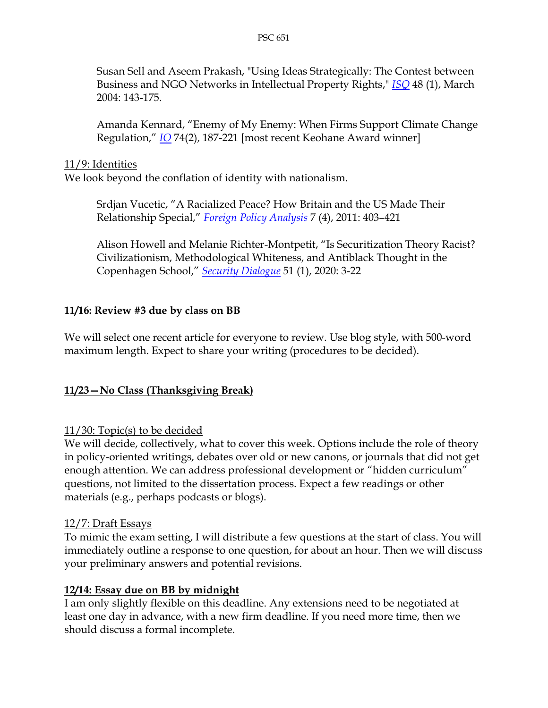Susan Sell and Aseem Prakash, "Using Ideas Strategically: The Contest between Business and NGO Networks in Intellectual Property Rights," *[ISQ](https://academic.oup.com/isq)* 48 (1), March 2004: 143-175.

Amanda Kennard, "Enemy of My Enemy: When Firms Support Climate Change Regulation," *[IO](https://www.cambridge.org/core/journals/international-organization)* 74(2), 187-221 [most recent Keohane Award winner]

### 11/9: Identities

We look beyond the conflation of identity with nationalism.

Srdjan Vucetic, "A Racialized Peace? How Britain and the US Made Their Relationship Special," *[Foreign Policy Analysis](https://academic.oup.com/fpa)* 7 (4), 2011: 403–421

Alison Howell and Melanie Richter-Montpetit, "Is Securitization Theory Racist? Civilizationism, Methodological Whiteness, and Antiblack Thought in the Copenhagen School," *[Security Dialogue](https://journals.sagepub.com/home/sdi)* 51 (1), 2020: 3-22

### **11/16: Review #3 due by class on BB**

We will select one recent article for everyone to review. Use blog style, with 500-word maximum length. Expect to share your writing (procedures to be decided).

### **11/23—No Class (Thanksgiving Break)**

### 11/30: Topic(s) to be decided

We will decide, collectively, what to cover this week. Options include the role of theory in policy-oriented writings, debates over old or new canons, or journals that did not get enough attention. We can address professional development or "hidden curriculum" questions, not limited to the dissertation process. Expect a few readings or other materials (e.g., perhaps podcasts or blogs).

### 12/7: Draft Essays

To mimic the exam setting, I will distribute a few questions at the start of class. You will immediately outline a response to one question, for about an hour. Then we will discuss your preliminary answers and potential revisions.

### **12/14: Essay due on BB by midnight**

I am only slightly flexible on this deadline. Any extensions need to be negotiated at least one day in advance, with a new firm deadline. If you need more time, then we should discuss a formal incomplete.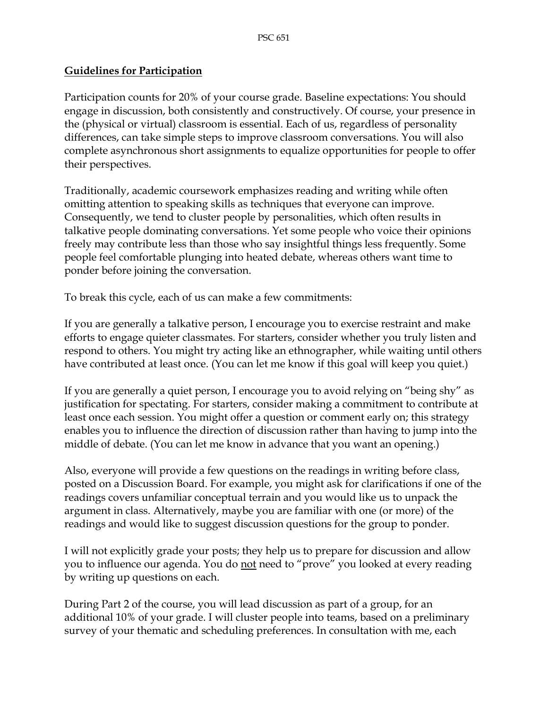#### **Guidelines for Participation**

Participation counts for 20% of your course grade. Baseline expectations: You should engage in discussion, both consistently and constructively. Of course, your presence in the (physical or virtual) classroom is essential. Each of us, regardless of personality differences, can take simple steps to improve classroom conversations. You will also complete asynchronous short assignments to equalize opportunities for people to offer their perspectives.

Traditionally, academic coursework emphasizes reading and writing while often omitting attention to speaking skills as techniques that everyone can improve. Consequently, we tend to cluster people by personalities, which often results in talkative people dominating conversations. Yet some people who voice their opinions freely may contribute less than those who say insightful things less frequently. Some people feel comfortable plunging into heated debate, whereas others want time to ponder before joining the conversation.

To break this cycle, each of us can make a few commitments:

If you are generally a talkative person, I encourage you to exercise restraint and make efforts to engage quieter classmates. For starters, consider whether you truly listen and respond to others. You might try acting like an ethnographer, while waiting until others have contributed at least once. (You can let me know if this goal will keep you quiet.)

If you are generally a quiet person, I encourage you to avoid relying on "being shy" as justification for spectating. For starters, consider making a commitment to contribute at least once each session. You might offer a question or comment early on; this strategy enables you to influence the direction of discussion rather than having to jump into the middle of debate. (You can let me know in advance that you want an opening.)

Also, everyone will provide a few questions on the readings in writing before class, posted on a Discussion Board. For example, you might ask for clarifications if one of the readings covers unfamiliar conceptual terrain and you would like us to unpack the argument in class. Alternatively, maybe you are familiar with one (or more) of the readings and would like to suggest discussion questions for the group to ponder.

I will not explicitly grade your posts; they help us to prepare for discussion and allow you to influence our agenda. You do not need to "prove" you looked at every reading by writing up questions on each.

During Part 2 of the course, you will lead discussion as part of a group, for an additional 10% of your grade. I will cluster people into teams, based on a preliminary survey of your thematic and scheduling preferences. In consultation with me, each